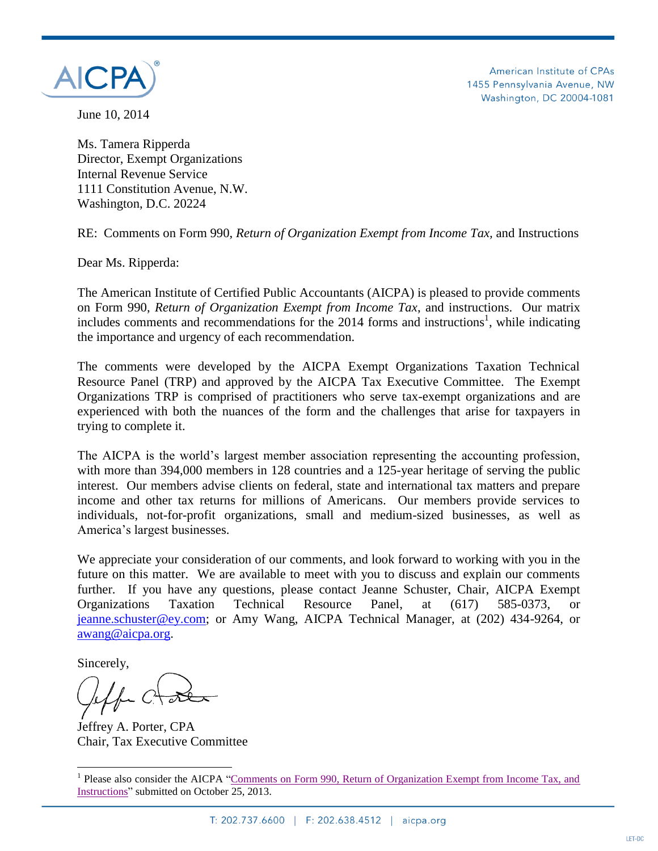

American Institute of CPAs 1455 Pennsylvania Avenue, NW Washington, DC 20004-1081

June 10, 2014

Ms. Tamera Ripperda Director, Exempt Organizations Internal Revenue Service 1111 Constitution Avenue, N.W. Washington, D.C. 20224

RE: Comments on Form 990, *Return of Organization Exempt from Income Tax,* and Instructions

Dear Ms. Ripperda:

The American Institute of Certified Public Accountants (AICPA) is pleased to provide comments on Form 990, *Return of Organization Exempt from Income Tax*, and instructions. Our matrix includes comments and recommendations for the  $2014$  forms and instructions<sup>1</sup>, while indicating the importance and urgency of each recommendation.

The comments were developed by the AICPA Exempt Organizations Taxation Technical Resource Panel (TRP) and approved by the AICPA Tax Executive Committee. The Exempt Organizations TRP is comprised of practitioners who serve tax-exempt organizations and are experienced with both the nuances of the form and the challenges that arise for taxpayers in trying to complete it.

The AICPA is the world's largest member association representing the accounting profession, with more than 394,000 members in 128 countries and a 125-year heritage of serving the public interest. Our members advise clients on federal, state and international tax matters and prepare income and other tax returns for millions of Americans. Our members provide services to individuals, not-for-profit organizations, small and medium-sized businesses, as well as America's largest businesses.

We appreciate your consideration of our comments, and look forward to working with you in the future on this matter. We are available to meet with you to discuss and explain our comments further. If you have any questions, please contact Jeanne Schuster, Chair, AICPA Exempt Organizations Taxation Technical Resource Panel, at (617) 585-0373, [jeanne.schuster@ey.com;](mailto:jeanne.schuster@ey.com) or Amy Wang, AICPA Technical Manager, at (202) 434-9264, or [awang@aicpa.org.](mailto:awang@aicpa.org)

Sincerely,

 $\overline{a}$ 

Jeffrey A. Porter, CPA Chair, Tax Executive Committee

<sup>&</sup>lt;sup>1</sup> Please also consider the AICPA "Comments on Form 990, Return of Organization Exempt from Income Tax, and [Instructions"](http://www.aicpa.org/advocacy/tax/exemptorganizations/downloadabledocuments/aicpa_form_990_comments_10-25-13.pdf) submitted on October 25, 2013.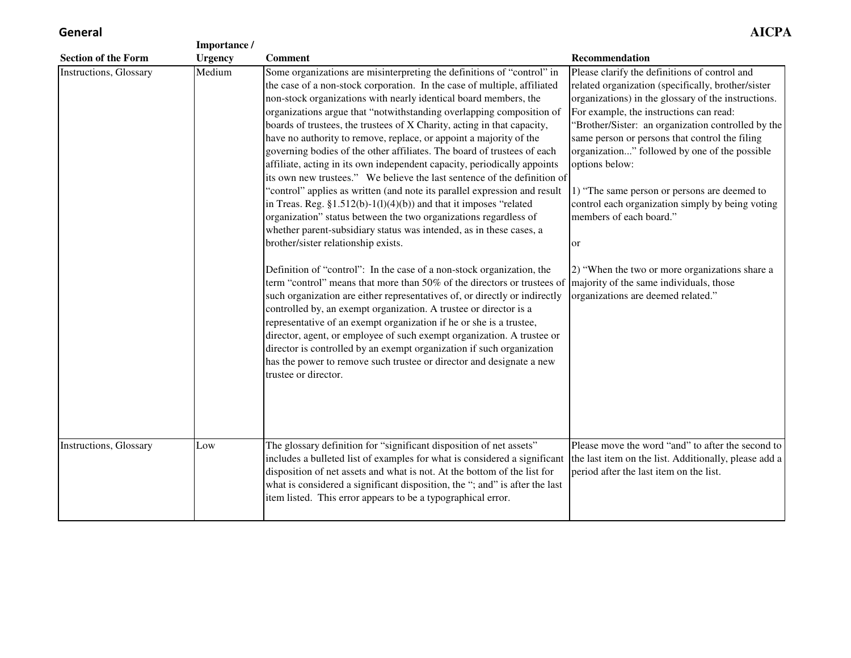## **General**

|                                | Importance /   |                                                                                                                                                                                                                                                                                                                                                                                                                                                                                                                                                                                                                                                                                                                                                                                                                                                                                                                                                                                                                                                                                                                                                                                                                                                                                                                                                                                                                                                                                                                                                                                                                                                           |                                                                                                                                                                                                                                                                                                                                                                                                                                                                                                                                                                                                                                                          |
|--------------------------------|----------------|-----------------------------------------------------------------------------------------------------------------------------------------------------------------------------------------------------------------------------------------------------------------------------------------------------------------------------------------------------------------------------------------------------------------------------------------------------------------------------------------------------------------------------------------------------------------------------------------------------------------------------------------------------------------------------------------------------------------------------------------------------------------------------------------------------------------------------------------------------------------------------------------------------------------------------------------------------------------------------------------------------------------------------------------------------------------------------------------------------------------------------------------------------------------------------------------------------------------------------------------------------------------------------------------------------------------------------------------------------------------------------------------------------------------------------------------------------------------------------------------------------------------------------------------------------------------------------------------------------------------------------------------------------------|----------------------------------------------------------------------------------------------------------------------------------------------------------------------------------------------------------------------------------------------------------------------------------------------------------------------------------------------------------------------------------------------------------------------------------------------------------------------------------------------------------------------------------------------------------------------------------------------------------------------------------------------------------|
| <b>Section of the Form</b>     | <b>Urgency</b> | <b>Comment</b>                                                                                                                                                                                                                                                                                                                                                                                                                                                                                                                                                                                                                                                                                                                                                                                                                                                                                                                                                                                                                                                                                                                                                                                                                                                                                                                                                                                                                                                                                                                                                                                                                                            | Recommendation                                                                                                                                                                                                                                                                                                                                                                                                                                                                                                                                                                                                                                           |
| <b>Instructions, Glossary</b>  | Medium         | Some organizations are misinterpreting the definitions of "control" in<br>the case of a non-stock corporation. In the case of multiple, affiliated<br>non-stock organizations with nearly identical board members, the<br>organizations argue that "notwithstanding overlapping composition of<br>boards of trustees, the trustees of X Charity, acting in that capacity,<br>have no authority to remove, replace, or appoint a majority of the<br>governing bodies of the other affiliates. The board of trustees of each<br>affiliate, acting in its own independent capacity, periodically appoints<br>its own new trustees." We believe the last sentence of the definition of<br>"control" applies as written (and note its parallel expression and result<br>in Treas. Reg. $$1.512(b)-1(1)(4)(b)$ and that it imposes "related"<br>organization" status between the two organizations regardless of<br>whether parent-subsidiary status was intended, as in these cases, a<br>brother/sister relationship exists.<br>Definition of "control": In the case of a non-stock organization, the<br>term "control" means that more than 50% of the directors or trustees of<br>such organization are either representatives of, or directly or indirectly<br>controlled by, an exempt organization. A trustee or director is a<br>representative of an exempt organization if he or she is a trustee,<br>director, agent, or employee of such exempt organization. A trustee or<br>director is controlled by an exempt organization if such organization<br>has the power to remove such trustee or director and designate a new<br>trustee or director. | Please clarify the definitions of control and<br>related organization (specifically, brother/sister<br>organizations) in the glossary of the instructions.<br>For example, the instructions can read:<br>"Brother/Sister: an organization controlled by the<br>same person or persons that control the filing<br>organization" followed by one of the possible<br>options below:<br>1) "The same person or persons are deemed to<br>control each organization simply by being voting<br>members of each board."<br>or<br>2) "When the two or more organizations share a<br>majority of the same individuals, those<br>organizations are deemed related." |
| <b>Instructions</b> , Glossary | Low            | The glossary definition for "significant disposition of net assets"<br>includes a bulleted list of examples for what is considered a significant<br>disposition of net assets and what is not. At the bottom of the list for<br>what is considered a significant disposition, the "; and" is after the last<br>item listed. This error appears to be a typographical error.                                                                                                                                                                                                                                                                                                                                                                                                                                                                                                                                                                                                                                                                                                                                                                                                                                                                                                                                                                                                                                                                                                                                                                                                                                                                               | Please move the word "and" to after the second to<br>the last item on the list. Additionally, please add a<br>period after the last item on the list.                                                                                                                                                                                                                                                                                                                                                                                                                                                                                                    |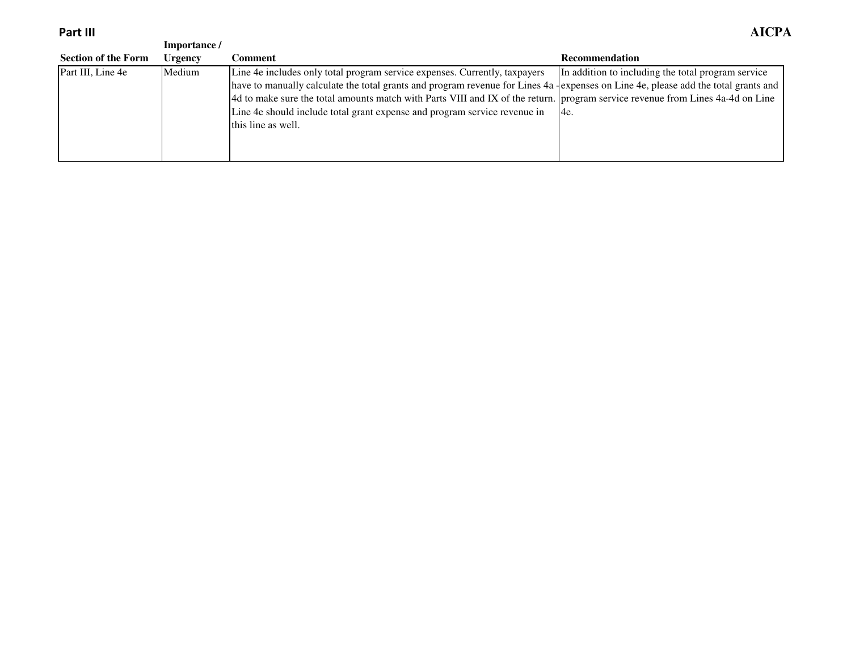**Part III**

| Part III                   |                |                                                                                                                                    | AICPA                                              |
|----------------------------|----------------|------------------------------------------------------------------------------------------------------------------------------------|----------------------------------------------------|
|                            | Importance/    |                                                                                                                                    |                                                    |
| <b>Section of the Form</b> | <b>Urgency</b> | Comment                                                                                                                            | <b>Recommendation</b>                              |
| Part III, Line 4e          | Medium         | Line 4e includes only total program service expenses. Currently, taxpayers                                                         | In addition to including the total program service |
|                            |                | have to manually calculate the total grants and program revenue for Lines 4a lexpenses on Line 4e, please add the total grants and |                                                    |
|                            |                | 4d to make sure the total amounts match with Parts VIII and IX of the return. program service revenue from Lines 4a-4d on Line     |                                                    |
|                            |                | Line 4e should include total grant expense and program service revenue in                                                          | 14e.                                               |
|                            |                | this line as well.                                                                                                                 |                                                    |
|                            |                |                                                                                                                                    |                                                    |
|                            |                |                                                                                                                                    |                                                    |
|                            |                |                                                                                                                                    |                                                    |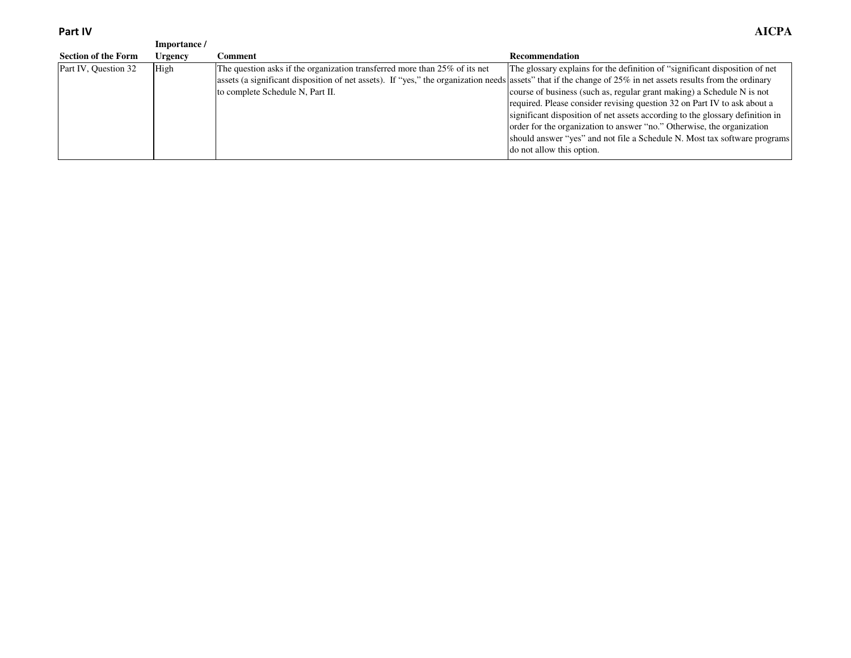**Part IV**

| Part IV                    |              |                                                                                                                                                              | <b>AICPA</b>                                                                  |
|----------------------------|--------------|--------------------------------------------------------------------------------------------------------------------------------------------------------------|-------------------------------------------------------------------------------|
|                            | Importance / |                                                                                                                                                              |                                                                               |
| <b>Section of the Form</b> | Urgency      | Comment                                                                                                                                                      | <b>Recommendation</b>                                                         |
| Part IV, Question 32       | High         | The question asks if the organization transferred more than 25% of its net                                                                                   | The glossary explains for the definition of "significant disposition of net   |
|                            |              | assets (a significant disposition of net assets). If "yes," the organization needs assets" that if the change of 25% in net assets results from the ordinary |                                                                               |
|                            |              | to complete Schedule N, Part II.                                                                                                                             | course of business (such as, regular grant making) a Schedule N is not        |
|                            |              |                                                                                                                                                              | required. Please consider revising question 32 on Part IV to ask about a      |
|                            |              |                                                                                                                                                              | significant disposition of net assets according to the glossary definition in |
|                            |              |                                                                                                                                                              | order for the organization to answer "no." Otherwise, the organization        |
|                            |              |                                                                                                                                                              | should answer "yes" and not file a Schedule N. Most tax software programs     |
|                            |              |                                                                                                                                                              | do not allow this option.                                                     |
|                            |              |                                                                                                                                                              |                                                                               |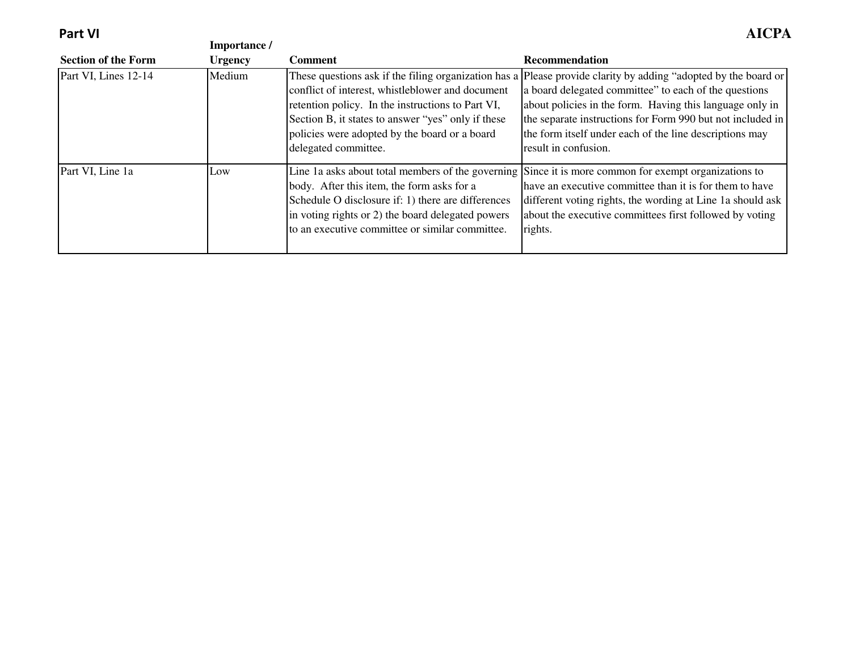**Part VI**

|                            | Importance /   |                                                                                                                                                                                                                                      |                                                                                                                                                                                                                                                                                                                                                                                      |
|----------------------------|----------------|--------------------------------------------------------------------------------------------------------------------------------------------------------------------------------------------------------------------------------------|--------------------------------------------------------------------------------------------------------------------------------------------------------------------------------------------------------------------------------------------------------------------------------------------------------------------------------------------------------------------------------------|
| <b>Section of the Form</b> | <b>Urgency</b> | <b>Comment</b>                                                                                                                                                                                                                       | <b>Recommendation</b>                                                                                                                                                                                                                                                                                                                                                                |
| Part VI, Lines 12-14       | Medium         | conflict of interest, whistleblower and document<br>retention policy. In the instructions to Part VI,<br>Section B, it states to answer "yes" only if these<br>policies were adopted by the board or a board<br>delegated committee. | These questions ask if the filing organization has a Please provide clarity by adding "adopted by the board or<br>a board delegated committee" to each of the questions<br>about policies in the form. Having this language only in<br>the separate instructions for Form 990 but not included in<br>the form itself under each of the line descriptions may<br>result in confusion. |
| Part VI, Line 1a           | Low            | body. After this item, the form asks for a<br>Schedule O disclosure if: 1) there are differences<br>in voting rights or 2) the board delegated powers<br>to an executive committee or similar committee.                             | Line 1a asks about total members of the governing Since it is more common for exempt organizations to<br>have an executive committee than it is for them to have<br>different voting rights, the wording at Line 1a should ask<br>about the executive committees first followed by voting<br>rights.                                                                                 |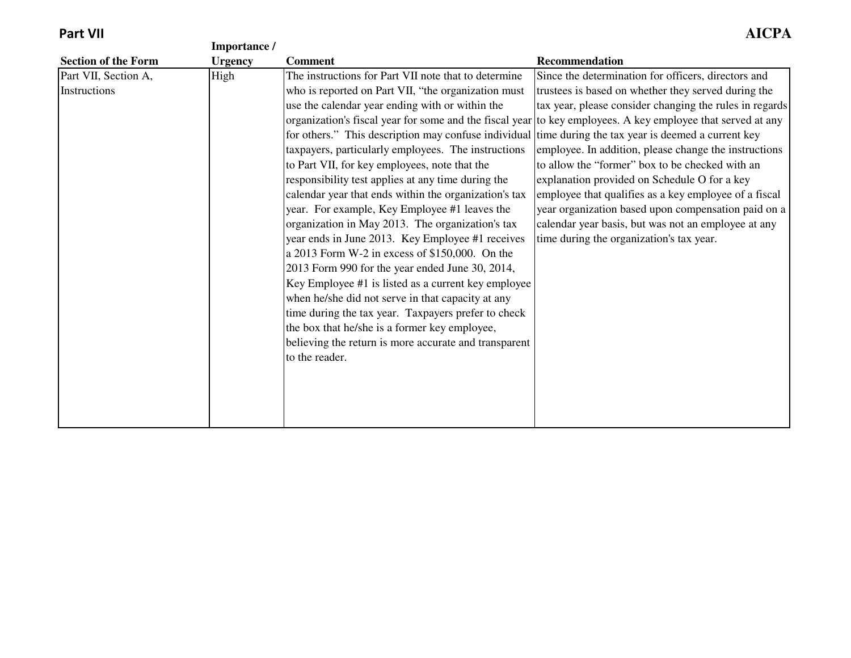|                            | Importance /   |                                                                                                             |                                                         |
|----------------------------|----------------|-------------------------------------------------------------------------------------------------------------|---------------------------------------------------------|
| <b>Section of the Form</b> | <b>Urgency</b> | <b>Comment</b>                                                                                              | Recommendation                                          |
| Part VII, Section A,       | High           | The instructions for Part VII note that to determine                                                        | Since the determination for officers, directors and     |
| Instructions               |                | who is reported on Part VII, "the organization must                                                         | trustees is based on whether they served during the     |
|                            |                | use the calendar year ending with or within the                                                             | tax year, please consider changing the rules in regards |
|                            |                | organization's fiscal year for some and the fiscal year to key employees. A key employee that served at any |                                                         |
|                            |                | for others." This description may confuse individual time during the tax year is deemed a current key       |                                                         |
|                            |                | taxpayers, particularly employees. The instructions                                                         | employee. In addition, please change the instructions   |
|                            |                | to Part VII, for key employees, note that the                                                               | to allow the "former" box to be checked with an         |
|                            |                | responsibility test applies at any time during the                                                          | explanation provided on Schedule O for a key            |
|                            |                | calendar year that ends within the organization's tax                                                       | employee that qualifies as a key employee of a fiscal   |
|                            |                | year. For example, Key Employee #1 leaves the                                                               | year organization based upon compensation paid on a     |
|                            |                | organization in May 2013. The organization's tax                                                            | calendar year basis, but was not an employee at any     |
|                            |                | year ends in June 2013. Key Employee #1 receives                                                            | time during the organization's tax year.                |
|                            |                | a 2013 Form W-2 in excess of $$150,000$ . On the                                                            |                                                         |
|                            |                | 2013 Form 990 for the year ended June 30, 2014,                                                             |                                                         |
|                            |                | Key Employee #1 is listed as a current key employee                                                         |                                                         |
|                            |                | when he/she did not serve in that capacity at any                                                           |                                                         |
|                            |                | time during the tax year. Taxpayers prefer to check                                                         |                                                         |
|                            |                | the box that he/she is a former key employee,                                                               |                                                         |
|                            |                | believing the return is more accurate and transparent                                                       |                                                         |
|                            |                | to the reader.                                                                                              |                                                         |
|                            |                |                                                                                                             |                                                         |
|                            |                |                                                                                                             |                                                         |
|                            |                |                                                                                                             |                                                         |
|                            |                |                                                                                                             |                                                         |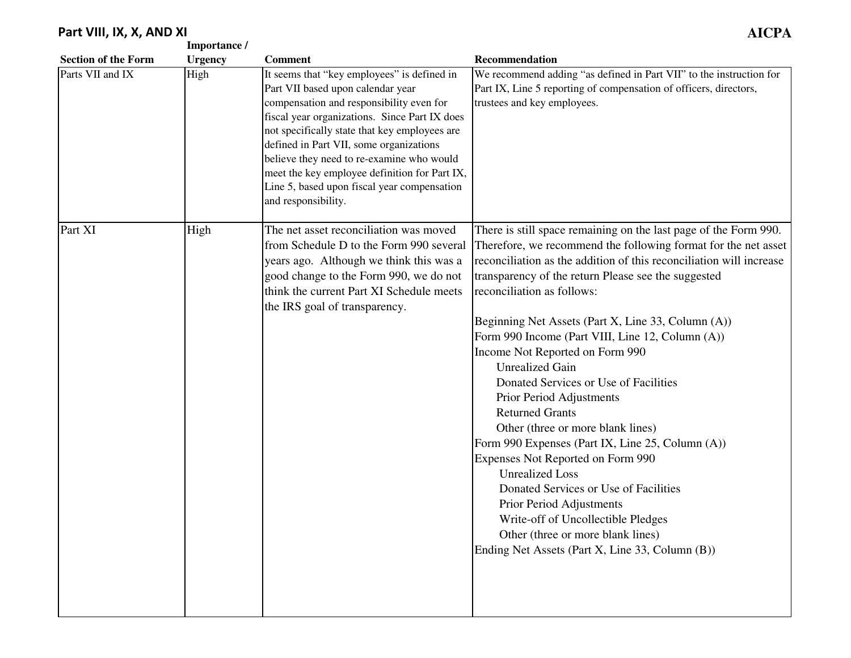### **Part VIII, IX, X, AND XI**

|                            | Importance /   |                                                                                                                                                                                                                                                                                                                                                                                                                                               |                                                                                                                                                                                                                                                                                                                                                                                                                                                                                                                                                                                                                                                                                                                                                                                                                                                                                                                                 |
|----------------------------|----------------|-----------------------------------------------------------------------------------------------------------------------------------------------------------------------------------------------------------------------------------------------------------------------------------------------------------------------------------------------------------------------------------------------------------------------------------------------|---------------------------------------------------------------------------------------------------------------------------------------------------------------------------------------------------------------------------------------------------------------------------------------------------------------------------------------------------------------------------------------------------------------------------------------------------------------------------------------------------------------------------------------------------------------------------------------------------------------------------------------------------------------------------------------------------------------------------------------------------------------------------------------------------------------------------------------------------------------------------------------------------------------------------------|
| <b>Section of the Form</b> | <b>Urgency</b> | <b>Comment</b>                                                                                                                                                                                                                                                                                                                                                                                                                                | Recommendation                                                                                                                                                                                                                                                                                                                                                                                                                                                                                                                                                                                                                                                                                                                                                                                                                                                                                                                  |
| Parts VII and IX           | High           | It seems that "key employees" is defined in<br>Part VII based upon calendar year<br>compensation and responsibility even for<br>fiscal year organizations. Since Part IX does<br>not specifically state that key employees are<br>defined in Part VII, some organizations<br>believe they need to re-examine who would<br>meet the key employee definition for Part IX,<br>Line 5, based upon fiscal year compensation<br>and responsibility. | We recommend adding "as defined in Part VII" to the instruction for<br>Part IX, Line 5 reporting of compensation of officers, directors,<br>trustees and key employees.                                                                                                                                                                                                                                                                                                                                                                                                                                                                                                                                                                                                                                                                                                                                                         |
| Part XI                    | High           | The net asset reconciliation was moved<br>from Schedule D to the Form 990 several<br>years ago. Although we think this was a<br>good change to the Form 990, we do not<br>think the current Part XI Schedule meets<br>the IRS goal of transparency.                                                                                                                                                                                           | There is still space remaining on the last page of the Form 990.<br>Therefore, we recommend the following format for the net asset<br>reconciliation as the addition of this reconciliation will increase<br>transparency of the return Please see the suggested<br>reconciliation as follows:<br>Beginning Net Assets (Part X, Line 33, Column (A))<br>Form 990 Income (Part VIII, Line 12, Column (A))<br>Income Not Reported on Form 990<br><b>Unrealized Gain</b><br>Donated Services or Use of Facilities<br>Prior Period Adjustments<br><b>Returned Grants</b><br>Other (three or more blank lines)<br>Form 990 Expenses (Part IX, Line 25, Column (A))<br>Expenses Not Reported on Form 990<br><b>Unrealized Loss</b><br>Donated Services or Use of Facilities<br>Prior Period Adjustments<br>Write-off of Uncollectible Pledges<br>Other (three or more blank lines)<br>Ending Net Assets (Part X, Line 33, Column (B)) |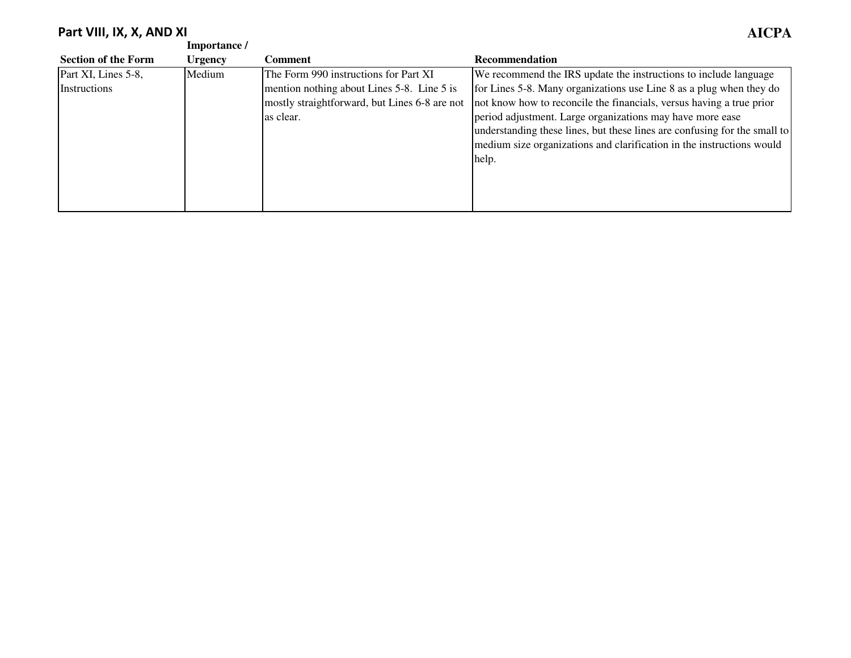#### **Part VIII, IX, X, AND XI AICPA**

|                            | Importance /   |                                               |                                                                           |
|----------------------------|----------------|-----------------------------------------------|---------------------------------------------------------------------------|
| <b>Section of the Form</b> | <b>Urgency</b> | Comment                                       | <b>Recommendation</b>                                                     |
| Part XI, Lines 5-8,        | Medium         | The Form 990 instructions for Part XI         | We recommend the IRS update the instructions to include language          |
| Instructions               |                | mention nothing about Lines 5-8. Line 5 is    | for Lines 5-8. Many organizations use Line 8 as a plug when they do       |
|                            |                | mostly straightforward, but Lines 6-8 are not | not know how to reconcile the financials, versus having a true prior      |
|                            |                | as clear.                                     | period adjustment. Large organizations may have more ease                 |
|                            |                |                                               | understanding these lines, but these lines are confusing for the small to |
|                            |                |                                               | medium size organizations and clarification in the instructions would     |
|                            |                |                                               | help.                                                                     |
|                            |                |                                               |                                                                           |
|                            |                |                                               |                                                                           |
|                            |                |                                               |                                                                           |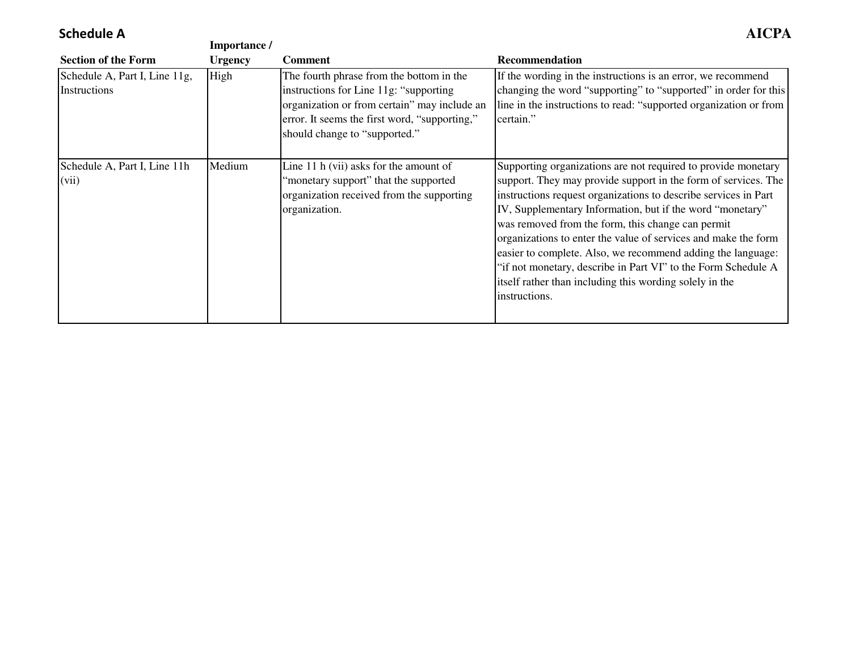### **Schedule A**

| <b>Schedule A</b>                             | Importance /   |                                                                                                                                                                                                                      | AICPA                                                                                                                                                                                                                                                                                                                                                                                                                                                                                                                                                                                              |
|-----------------------------------------------|----------------|----------------------------------------------------------------------------------------------------------------------------------------------------------------------------------------------------------------------|----------------------------------------------------------------------------------------------------------------------------------------------------------------------------------------------------------------------------------------------------------------------------------------------------------------------------------------------------------------------------------------------------------------------------------------------------------------------------------------------------------------------------------------------------------------------------------------------------|
| <b>Section of the Form</b>                    | <b>Urgency</b> | <b>Comment</b>                                                                                                                                                                                                       | <b>Recommendation</b>                                                                                                                                                                                                                                                                                                                                                                                                                                                                                                                                                                              |
| Schedule A, Part I, Line 11g,<br>Instructions | High           | The fourth phrase from the bottom in the<br>instructions for Line 11g: "supporting<br>organization or from certain" may include an<br>error. It seems the first word, "supporting,"<br>should change to "supported." | If the wording in the instructions is an error, we recommend<br>changing the word "supporting" to "supported" in order for this<br>line in the instructions to read: "supported organization or from<br>certain."                                                                                                                                                                                                                                                                                                                                                                                  |
| Schedule A, Part I, Line 11h<br>(vii)         | Medium         | Line 11 h (vii) asks for the amount of<br>"monetary support" that the supported<br>organization received from the supporting<br>organization.                                                                        | Supporting organizations are not required to provide monetary<br>support. They may provide support in the form of services. The<br>instructions request organizations to describe services in Part<br>IV, Supplementary Information, but if the word "monetary"<br>was removed from the form, this change can permit<br>organizations to enter the value of services and make the form<br>easier to complete. Also, we recommend adding the language:<br>"if not monetary, describe in Part VI" to the Form Schedule A<br>itself rather than including this wording solely in the<br>instructions. |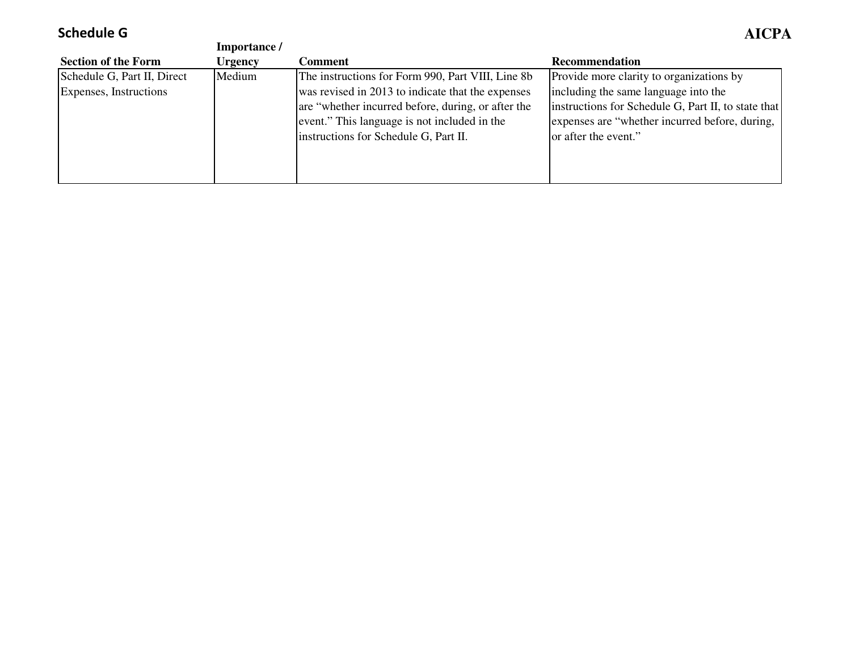# **Schedule G**

| Schedule G                  |                |                                                    | AICPA                                               |
|-----------------------------|----------------|----------------------------------------------------|-----------------------------------------------------|
|                             | Importance /   |                                                    |                                                     |
| <b>Section of the Form</b>  | <b>Urgency</b> | Comment                                            | <b>Recommendation</b>                               |
| Schedule G, Part II, Direct | Medium         | The instructions for Form 990, Part VIII, Line 8b  | Provide more clarity to organizations by            |
| Expenses, Instructions      |                | was revised in 2013 to indicate that the expenses  | including the same language into the                |
|                             |                | are "whether incurred before, during, or after the | instructions for Schedule G, Part II, to state that |
|                             |                | event." This language is not included in the       | expenses are "whether incurred before, during,      |
|                             |                | instructions for Schedule G, Part II.              | or after the event."                                |
|                             |                |                                                    |                                                     |
|                             |                |                                                    |                                                     |
|                             |                |                                                    |                                                     |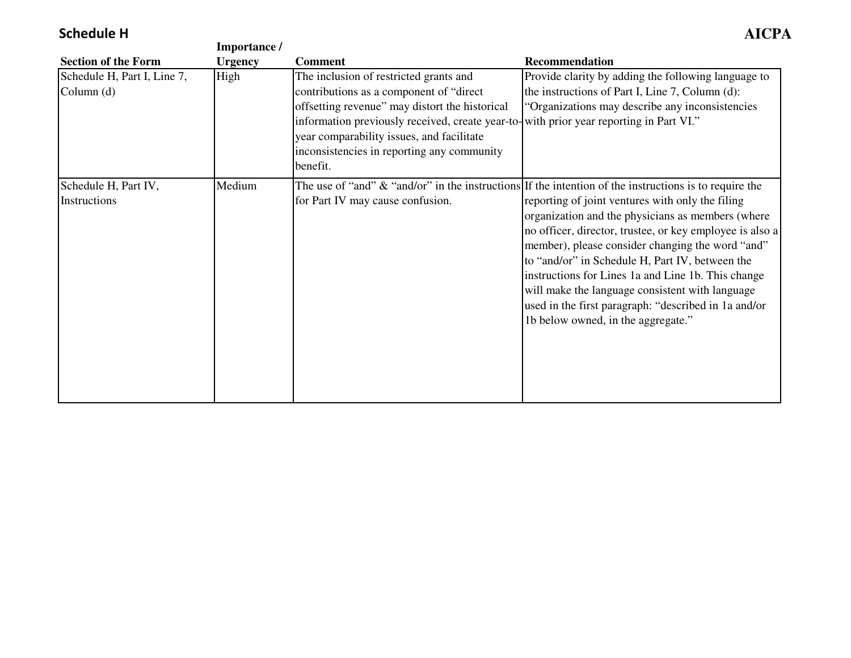## **Schedule H**

|                                             | Importance /   |                                                                                                                                                                                                                                                                                                                                        |                                                                                                                                                                                                                                                                                                                                                                                                                                                                                 |
|---------------------------------------------|----------------|----------------------------------------------------------------------------------------------------------------------------------------------------------------------------------------------------------------------------------------------------------------------------------------------------------------------------------------|---------------------------------------------------------------------------------------------------------------------------------------------------------------------------------------------------------------------------------------------------------------------------------------------------------------------------------------------------------------------------------------------------------------------------------------------------------------------------------|
| <b>Section of the Form</b>                  | <b>Urgency</b> | <b>Comment</b>                                                                                                                                                                                                                                                                                                                         | <b>Recommendation</b>                                                                                                                                                                                                                                                                                                                                                                                                                                                           |
| Schedule H, Part I, Line 7,<br>Column $(d)$ | High           | The inclusion of restricted grants and<br>contributions as a component of "direct"<br>offsetting revenue" may distort the historical<br>information previously received, create year-to- with prior year reporting in Part VI."<br>year comparability issues, and facilitate<br>inconsistencies in reporting any community<br>benefit. | Provide clarity by adding the following language to<br>the instructions of Part I, Line 7, Column (d):<br>"Organizations may describe any inconsistencies"                                                                                                                                                                                                                                                                                                                      |
| Schedule H, Part IV,                        | Medium         |                                                                                                                                                                                                                                                                                                                                        | The use of "and" $\&$ "and/or" in the instructions If the intention of the instructions is to require the                                                                                                                                                                                                                                                                                                                                                                       |
| Instructions                                |                | for Part IV may cause confusion.                                                                                                                                                                                                                                                                                                       | reporting of joint ventures with only the filing<br>organization and the physicians as members (where<br>no officer, director, trustee, or key employee is also a<br>member), please consider changing the word "and"<br>to "and/or" in Schedule H, Part IV, between the<br>instructions for Lines 1a and Line 1b. This change<br>will make the language consistent with language<br>used in the first paragraph: "described in 1a and/or<br>1b below owned, in the aggregate." |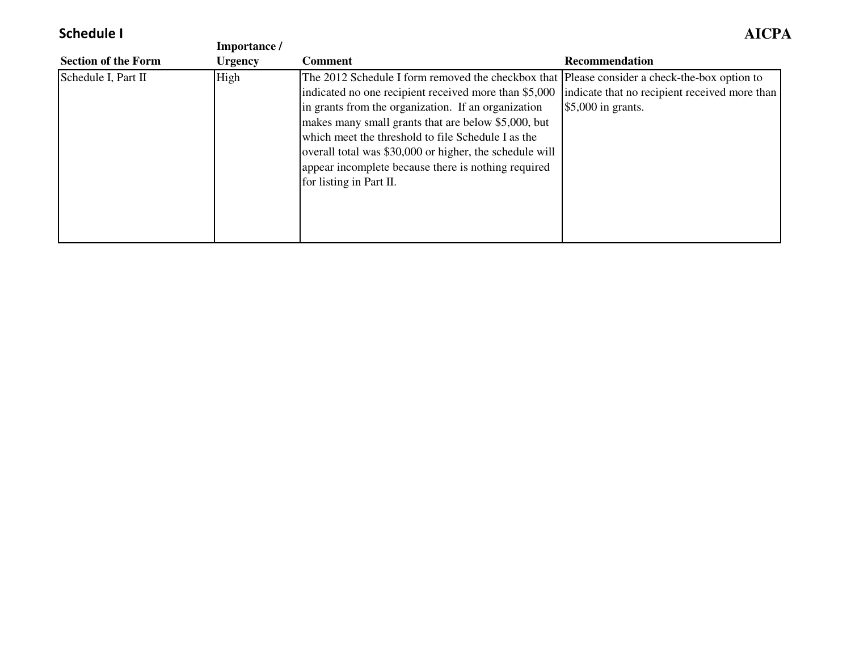# **Schedule I**

|                            | Importance /   |                                                                                                                                                                                                                                                                                                                                                                                                                                                                        |                                                                      |
|----------------------------|----------------|------------------------------------------------------------------------------------------------------------------------------------------------------------------------------------------------------------------------------------------------------------------------------------------------------------------------------------------------------------------------------------------------------------------------------------------------------------------------|----------------------------------------------------------------------|
| <b>Section of the Form</b> | <b>Urgency</b> | <b>Comment</b>                                                                                                                                                                                                                                                                                                                                                                                                                                                         | Recommendation                                                       |
| Schedule I, Part II        | High           | The 2012 Schedule I form removed the checkbox that Please consider a check-the-box option to<br>indicated no one recipient received more than \$5,000<br>in grants from the organization. If an organization<br>makes many small grants that are below \$5,000, but<br>which meet the threshold to file Schedule I as the<br>overall total was \$30,000 or higher, the schedule will<br>appear incomplete because there is nothing required<br>for listing in Part II. | indicate that no recipient received more than<br>$$5,000$ in grants. |